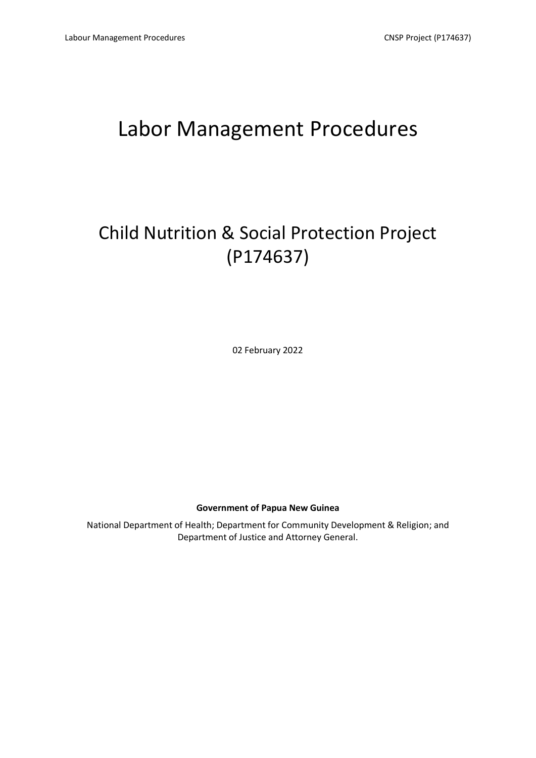# Labor Management Procedures

# Child Nutrition & Social Protection Project (P174637)

02 February 2022

#### **Government of Papua New Guinea**

National Department of Health; Department for Community Development & Religion; and Department of Justice and Attorney General.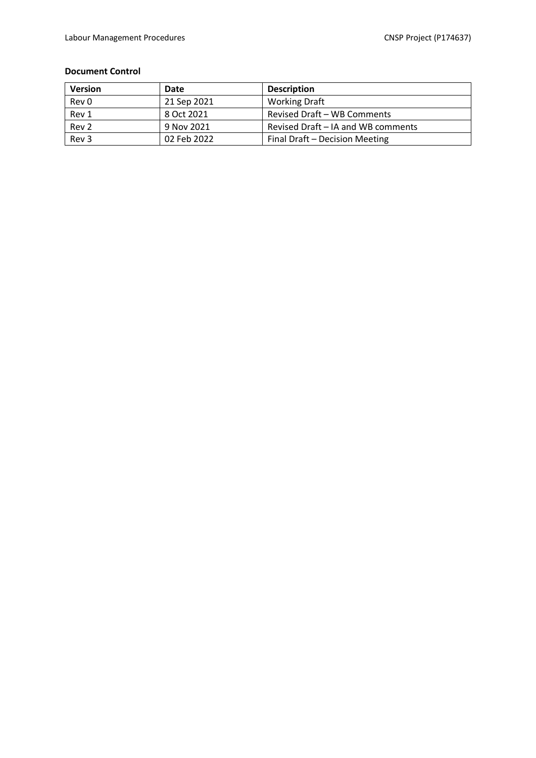#### **Document Control**

| <b>Version</b> | Date        | <b>Description</b>                 |
|----------------|-------------|------------------------------------|
| Rev 0          | 21 Sep 2021 | <b>Working Draft</b>               |
| Rev 1          | 8 Oct 2021  | Revised Draft - WB Comments        |
| Rev 2          | 9 Nov 2021  | Revised Draft – IA and WB comments |
| Rev 3          | 02 Feb 2022 | Final Draft – Decision Meeting     |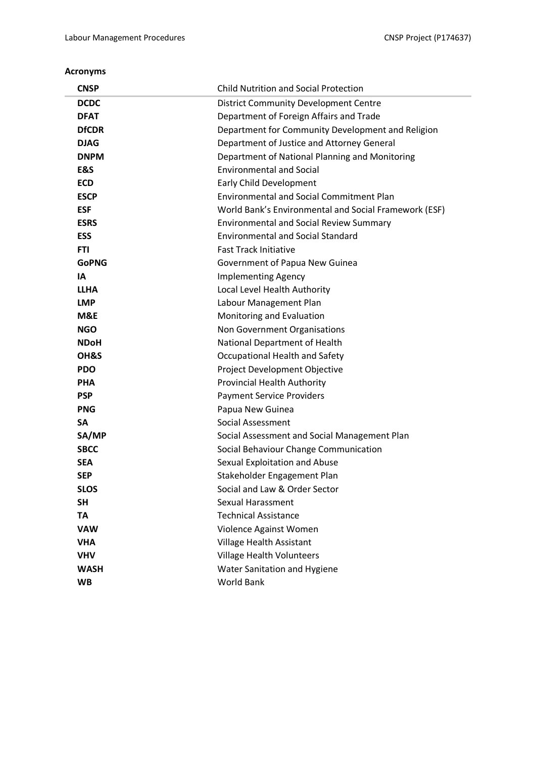٠

#### **Acronyms**

| <b>CNSP</b>  | <b>Child Nutrition and Social Protection</b>          |  |
|--------------|-------------------------------------------------------|--|
| <b>DCDC</b>  | <b>District Community Development Centre</b>          |  |
| <b>DFAT</b>  | Department of Foreign Affairs and Trade               |  |
| <b>DfCDR</b> | Department for Community Development and Religion     |  |
| <b>DJAG</b>  | Department of Justice and Attorney General            |  |
| <b>DNPM</b>  | Department of National Planning and Monitoring        |  |
| E&S          | <b>Environmental and Social</b>                       |  |
| <b>ECD</b>   | Early Child Development                               |  |
| <b>ESCP</b>  | <b>Environmental and Social Commitment Plan</b>       |  |
| <b>ESF</b>   | World Bank's Environmental and Social Framework (ESF) |  |
| <b>ESRS</b>  | <b>Environmental and Social Review Summary</b>        |  |
| <b>ESS</b>   | <b>Environmental and Social Standard</b>              |  |
| FTI          | <b>Fast Track Initiative</b>                          |  |
| <b>GoPNG</b> | Government of Papua New Guinea                        |  |
| IA           | <b>Implementing Agency</b>                            |  |
| <b>LLHA</b>  | Local Level Health Authority                          |  |
| <b>LMP</b>   | Labour Management Plan                                |  |
| M&E          | Monitoring and Evaluation                             |  |
| <b>NGO</b>   | Non Government Organisations                          |  |
| <b>NDoH</b>  | National Department of Health                         |  |
| OH&S         | Occupational Health and Safety                        |  |
| <b>PDO</b>   | Project Development Objective                         |  |
| <b>PHA</b>   | Provincial Health Authority                           |  |
| <b>PSP</b>   | <b>Payment Service Providers</b>                      |  |
| <b>PNG</b>   | Papua New Guinea                                      |  |
| SА           | Social Assessment                                     |  |
| SA/MP        | Social Assessment and Social Management Plan          |  |
| <b>SBCC</b>  | Social Behaviour Change Communication                 |  |
| <b>SEA</b>   | Sexual Exploitation and Abuse                         |  |
| <b>SEP</b>   | Stakeholder Engagement Plan                           |  |
| <b>SLOS</b>  | Social and Law & Order Sector                         |  |
| <b>SH</b>    | Sexual Harassment                                     |  |
| TA           | <b>Technical Assistance</b>                           |  |
| <b>VAW</b>   | Violence Against Women                                |  |
| <b>VHA</b>   | Village Health Assistant                              |  |
| <b>VHV</b>   | Village Health Volunteers                             |  |
| <b>WASH</b>  | Water Sanitation and Hygiene                          |  |
| <b>WB</b>    | World Bank                                            |  |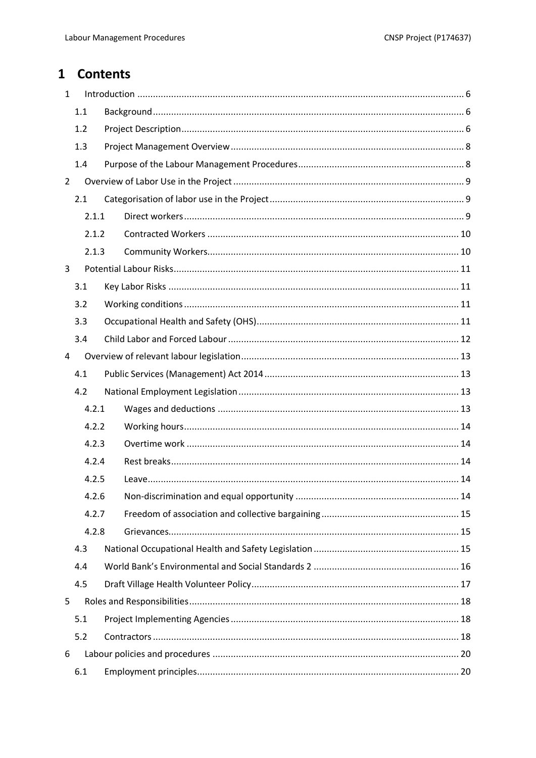# 1 Contents

| $\mathbf{1}$            |       |  |  |  |
|-------------------------|-------|--|--|--|
| 1.1                     |       |  |  |  |
| 1.2                     |       |  |  |  |
|                         | 1.3   |  |  |  |
|                         | 1.4   |  |  |  |
| $\overline{2}$          |       |  |  |  |
| 2.1                     |       |  |  |  |
|                         | 2.1.1 |  |  |  |
| 2.1.2                   |       |  |  |  |
|                         | 2.1.3 |  |  |  |
| 3                       |       |  |  |  |
|                         | 3.1   |  |  |  |
|                         | 3.2   |  |  |  |
|                         | 3.3   |  |  |  |
|                         | 3.4   |  |  |  |
| $\overline{4}$          |       |  |  |  |
|                         | 4.1   |  |  |  |
|                         | 4.2   |  |  |  |
|                         | 4.2.1 |  |  |  |
|                         | 4.2.2 |  |  |  |
|                         | 4.2.3 |  |  |  |
|                         | 4.2.4 |  |  |  |
| 4.2.5<br>4.2.6<br>4.2.7 |       |  |  |  |
|                         |       |  |  |  |
|                         |       |  |  |  |
|                         | 4.2.8 |  |  |  |
|                         | 4.3   |  |  |  |
|                         | 4.4   |  |  |  |
|                         | 4.5   |  |  |  |
| 5                       |       |  |  |  |
|                         | 5.1   |  |  |  |
|                         | 5.2   |  |  |  |
| 6                       |       |  |  |  |
|                         | 6.1   |  |  |  |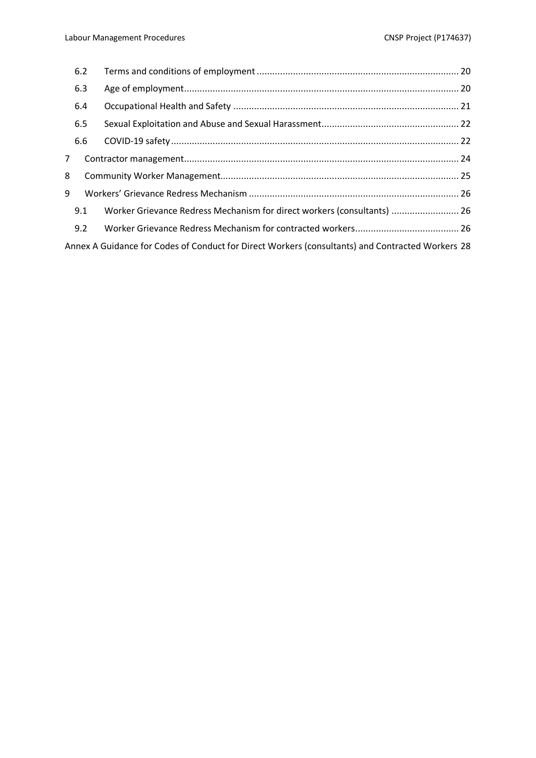|                | 6.2                                                                                              |                                                                         |  |  |  |
|----------------|--------------------------------------------------------------------------------------------------|-------------------------------------------------------------------------|--|--|--|
|                | 6.3                                                                                              |                                                                         |  |  |  |
|                | 6.4                                                                                              |                                                                         |  |  |  |
|                | 6.5                                                                                              |                                                                         |  |  |  |
|                | 6.6                                                                                              |                                                                         |  |  |  |
| 7 <sup>7</sup> |                                                                                                  |                                                                         |  |  |  |
| 8              |                                                                                                  |                                                                         |  |  |  |
| 9              |                                                                                                  |                                                                         |  |  |  |
|                | 9.1                                                                                              | Worker Grievance Redress Mechanism for direct workers (consultants)  26 |  |  |  |
|                | 9.2                                                                                              |                                                                         |  |  |  |
|                | Annex A Guidance for Codes of Conduct for Direct Workers (consultants) and Contracted Workers 28 |                                                                         |  |  |  |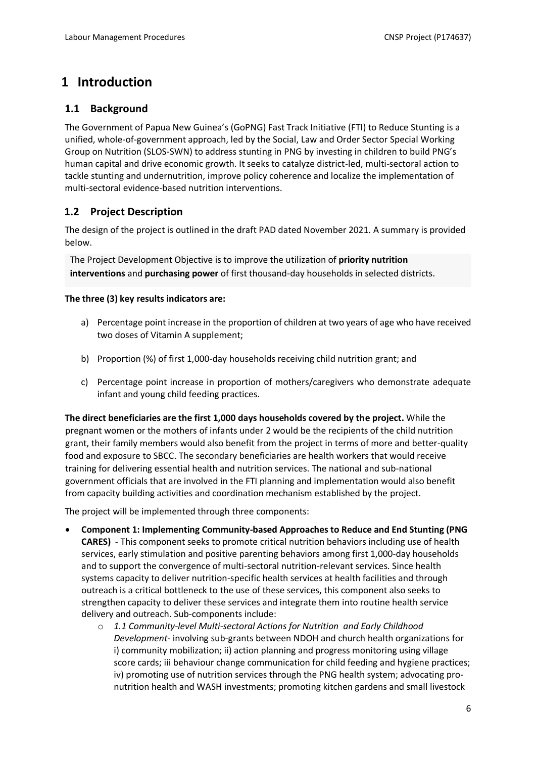# <span id="page-5-0"></span>**1 Introduction**

#### <span id="page-5-1"></span>**1.1 Background**

The Government of Papua New Guinea's (GoPNG) Fast Track Initiative (FTI) to Reduce Stunting is a unified, whole-of-government approach, led by the Social, Law and Order Sector Special Working Group on Nutrition (SLOS-SWN) to address stunting in PNG by investing in children to build PNG's human capital and drive economic growth. It seeks to catalyze district-led, multi-sectoral action to tackle stunting and undernutrition, improve policy coherence and localize the implementation of multi-sectoral evidence-based nutrition interventions.

## <span id="page-5-2"></span>**1.2 Project Description**

The design of the project is outlined in the draft PAD dated November 2021. A summary is provided below.

The Project Development Objective is to improve the utilization of **priority nutrition interventions** and **purchasing power** of first thousand-day households in selected districts.

#### **The three (3) key results indicators are:**

- a) Percentage point increase in the proportion of children at two years of age who have received two doses of Vitamin A supplement;
- b) Proportion (%) of first 1,000-day households receiving child nutrition grant; and
- c) Percentage point increase in proportion of mothers/caregivers who demonstrate adequate infant and young child feeding practices.

**The direct beneficiaries are the first 1,000 days households covered by the project.** While the pregnant women or the mothers of infants under 2 would be the recipients of the child nutrition grant, their family members would also benefit from the project in terms of more and better-quality food and exposure to SBCC. The secondary beneficiaries are health workers that would receive training for delivering essential health and nutrition services. The national and sub-national government officials that are involved in the FTI planning and implementation would also benefit from capacity building activities and coordination mechanism established by the project.

The project will be implemented through three components:

- **Component 1: Implementing Community-based Approaches to Reduce and End Stunting (PNG CARES)** - This component seeks to promote critical nutrition behaviors including use of health services, early stimulation and positive parenting behaviors among first 1,000-day households and to support the convergence of multi-sectoral nutrition-relevant services. Since health systems capacity to deliver nutrition-specific health services at health facilities and through outreach is a critical bottleneck to the use of these services, this component also seeks to strengthen capacity to deliver these services and integrate them into routine health service delivery and outreach. Sub-components include:
	- o *1.1 Community-level Multi-sectoral Actions for Nutrition and Early Childhood Development*- involving sub-grants between NDOH and church health organizations for i) community mobilization; ii) action planning and progress monitoring using village score cards; iii behaviour change communication for child feeding and hygiene practices; iv) promoting use of nutrition services through the PNG health system; advocating pronutrition health and WASH investments; promoting kitchen gardens and small livestock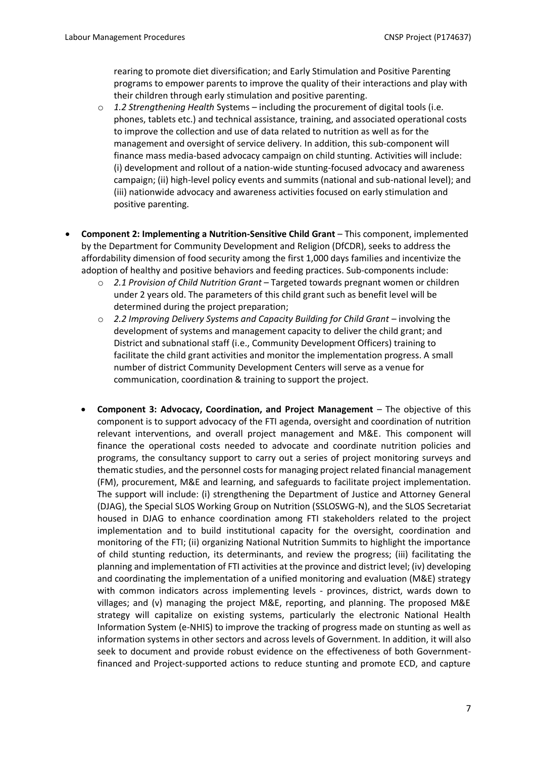rearing to promote diet diversification; and Early Stimulation and Positive Parenting programs to empower parents to improve the quality of their interactions and play with their children through early stimulation and positive parenting.

- o *1.2 Strengthening Health* Systems including the procurement of digital tools (i.e. phones, tablets etc.) and technical assistance, training, and associated operational costs to improve the collection and use of data related to nutrition as well as for the management and oversight of service delivery. In addition, this sub-component will finance mass media-based advocacy campaign on child stunting. Activities will include: (i) development and rollout of a nation-wide stunting-focused advocacy and awareness campaign; (ii) high-level policy events and summits (national and sub-national level); and (iii) nationwide advocacy and awareness activities focused on early stimulation and positive parenting.
- **Component 2: Implementing a Nutrition-Sensitive Child Grant** This component, implemented by the Department for Community Development and Religion (DfCDR), seeks to address the affordability dimension of food security among the first 1,000 days families and incentivize the adoption of healthy and positive behaviors and feeding practices. Sub-components include:
	- o *2.1 Provision of Child Nutrition Grant* Targeted towards pregnant women or children under 2 years old. The parameters of this child grant such as benefit level will be determined during the project preparation;
	- o 2.2 Improving Delivery Systems and Capacity Building for Child Grant involving the development of systems and management capacity to deliver the child grant; and District and subnational staff (i.e., Community Development Officers) training to facilitate the child grant activities and monitor the implementation progress. A small number of district Community Development Centers will serve as a venue for communication, coordination & training to support the project.
	- **Component 3: Advocacy, Coordination, and Project Management**  The objective of this component is to support advocacy of the FTI agenda, oversight and coordination of nutrition relevant interventions, and overall project management and M&E. This component will finance the operational costs needed to advocate and coordinate nutrition policies and programs, the consultancy support to carry out a series of project monitoring surveys and thematic studies, and the personnel costs for managing project related financial management (FM), procurement, M&E and learning, and safeguards to facilitate project implementation. The support will include: (i) strengthening the Department of Justice and Attorney General (DJAG), the Special SLOS Working Group on Nutrition (SSLOSWG-N), and the SLOS Secretariat housed in DJAG to enhance coordination among FTI stakeholders related to the project implementation and to build institutional capacity for the oversight, coordination and monitoring of the FTI; (ii) organizing National Nutrition Summits to highlight the importance of child stunting reduction, its determinants, and review the progress; (iii) facilitating the planning and implementation of FTI activities at the province and district level; (iv) developing and coordinating the implementation of a unified monitoring and evaluation (M&E) strategy with common indicators across implementing levels - provinces, district, wards down to villages; and (v) managing the project M&E, reporting, and planning. The proposed M&E strategy will capitalize on existing systems, particularly the electronic National Health Information System (e-NHIS) to improve the tracking of progress made on stunting as well as information systems in other sectors and across levels of Government. In addition, it will also seek to document and provide robust evidence on the effectiveness of both Governmentfinanced and Project-supported actions to reduce stunting and promote ECD, and capture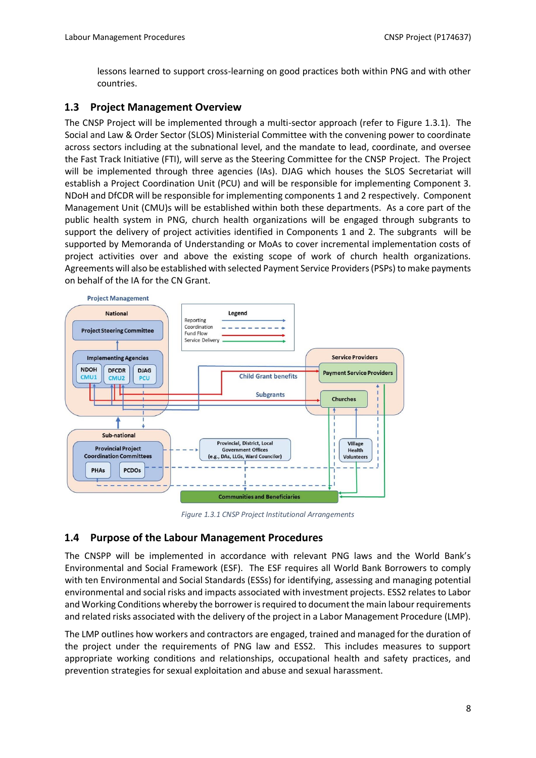lessons learned to support cross-learning on good practices both within PNG and with other countries.

#### <span id="page-7-0"></span>**1.3 Project Management Overview**

The CNSP Project will be implemented through a multi-sector approach (refer to Figure 1.3.1). The Social and Law & Order Sector (SLOS) Ministerial Committee with the convening power to coordinate across sectors including at the subnational level, and the mandate to lead, coordinate, and oversee the Fast Track Initiative (FTI), will serve as the Steering Committee for the CNSP Project. The Project will be implemented through three agencies (IAs). DJAG which houses the SLOS Secretariat will establish a Project Coordination Unit (PCU) and will be responsible for implementing Component 3. NDoH and DfCDR will be responsible for implementing components 1 and 2 respectively. Component Management Unit (CMU)s will be established within both these departments. As a core part of the public health system in PNG, church health organizations will be engaged through subgrants to support the delivery of project activities identified in Components 1 and 2. The subgrants will be supported by Memoranda of Understanding or MoAs to cover incremental implementation costs of project activities over and above the existing scope of work of church health organizations. Agreements will also be established with selected Payment Service Providers (PSPs) to make payments on behalf of the IA for the CN Grant.



*Figure 1.3.1 CNSP Project Institutional Arrangements*

## <span id="page-7-1"></span>**1.4 Purpose of the Labour Management Procedures**

The CNSPP will be implemented in accordance with relevant PNG laws and the World Bank's Environmental and Social Framework (ESF). The ESF requires all World Bank Borrowers to comply with ten Environmental and Social Standards (ESSs) for identifying, assessing and managing potential environmental and social risks and impacts associated with investment projects. ESS2 relates to Labor and Working Conditions whereby the borrower is required to document the main labour requirements and related risks associated with the delivery of the project in a Labor Management Procedure (LMP).

The LMP outlines how workers and contractors are engaged, trained and managed for the duration of the project under the requirements of PNG law and ESS2. This includes measures to support appropriate working conditions and relationships, occupational health and safety practices, and prevention strategies for sexual exploitation and abuse and sexual harassment.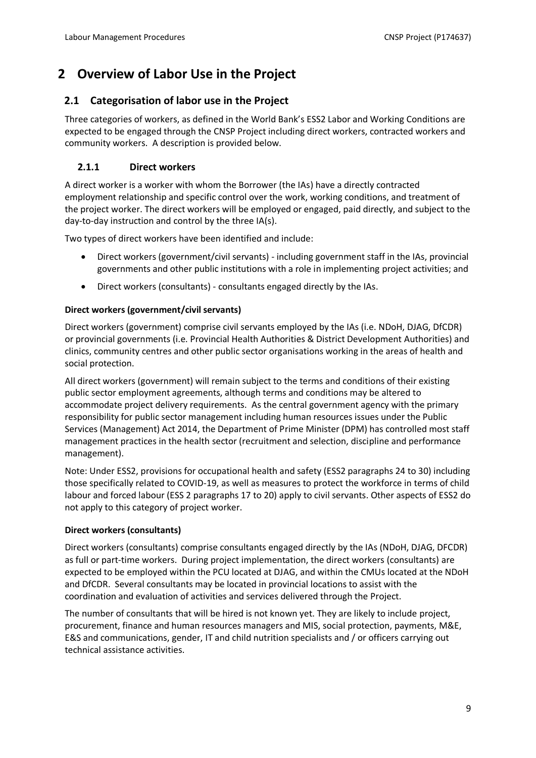# <span id="page-8-0"></span>**2 Overview of Labor Use in the Project**

#### <span id="page-8-1"></span>**2.1 Categorisation of labor use in the Project**

Three categories of workers, as defined in the World Bank's ESS2 Labor and Working Conditions are expected to be engaged through the CNSP Project including direct workers, contracted workers and community workers. A description is provided below.

#### <span id="page-8-2"></span>**2.1.1 Direct workers**

A direct worker is a worker with whom the Borrower (the IAs) have a directly contracted employment relationship and specific control over the work, working conditions, and treatment of the project worker. The direct workers will be employed or engaged, paid directly, and subject to the day-to-day instruction and control by the three IA(s).

Two types of direct workers have been identified and include:

- Direct workers (government/civil servants) including government staff in the IAs, provincial governments and other public institutions with a role in implementing project activities; and
- Direct workers (consultants) consultants engaged directly by the IAs.

#### **Direct workers (government/civil servants)**

Direct workers (government) comprise civil servants employed by the IAs (i.e. NDoH, DJAG, DfCDR) or provincial governments (i.e. Provincial Health Authorities & District Development Authorities) and clinics, community centres and other public sector organisations working in the areas of health and social protection.

All direct workers (government) will remain subject to the terms and conditions of their existing public sector employment agreements, although terms and conditions may be altered to accommodate project delivery requirements. As the central government agency with the primary responsibility for public sector management including human resources issues under the Public Services (Management) Act 2014, the Department of Prime Minister (DPM) has controlled most staff management practices in the health sector (recruitment and selection, discipline and performance management).

Note: Under ESS2, provisions for occupational health and safety (ESS2 paragraphs 24 to 30) including those specifically related to COVID-19, as well as measures to protect the workforce in terms of child labour and forced labour (ESS 2 paragraphs 17 to 20) apply to civil servants. Other aspects of ESS2 do not apply to this category of project worker.

#### **Direct workers (consultants)**

Direct workers (consultants) comprise consultants engaged directly by the IAs (NDoH, DJAG, DFCDR) as full or part-time workers. During project implementation, the direct workers (consultants) are expected to be employed within the PCU located at DJAG, and within the CMUs located at the NDoH and DfCDR. Several consultants may be located in provincial locations to assist with the coordination and evaluation of activities and services delivered through the Project.

The number of consultants that will be hired is not known yet. They are likely to include project, procurement, finance and human resources managers and MIS, social protection, payments, M&E, E&S and communications, gender, IT and child nutrition specialists and / or officers carrying out technical assistance activities.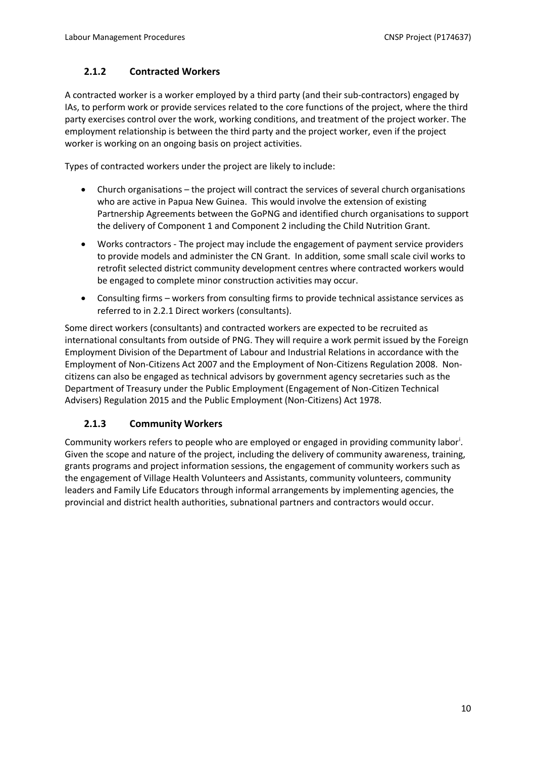#### <span id="page-9-0"></span>**2.1.2 Contracted Workers**

A contracted worker is a worker employed by a third party (and their sub-contractors) engaged by IAs, to perform work or provide services related to the core functions of the project, where the third party exercises control over the work, working conditions, and treatment of the project worker. The employment relationship is between the third party and the project worker, even if the project worker is working on an ongoing basis on project activities.

Types of contracted workers under the project are likely to include:

- Church organisations the project will contract the services of several church organisations who are active in Papua New Guinea. This would involve the extension of existing Partnership Agreements between the GoPNG and identified church organisations to support the delivery of Component 1 and Component 2 including the Child Nutrition Grant.
- Works contractors The project may include the engagement of payment service providers to provide models and administer the CN Grant. In addition, some small scale civil works to retrofit selected district community development centres where contracted workers would be engaged to complete minor construction activities may occur.
- Consulting firms workers from consulting firms to provide technical assistance services as referred to in 2.2.1 Direct workers (consultants).

Some direct workers (consultants) and contracted workers are expected to be recruited as international consultants from outside of PNG. They will require a work permit issued by the Foreign Employment Division of the Department of Labour and Industrial Relations in accordance with the [Employment of Non-Citizens Act 2007](https://www.ilo.org/dyn/natlex/docs/ELECTRONIC/82389/90175/F749145263/PNG82389.pdf) and the [Employment of Non-Citizens Regulation 2008.](https://www.ilo.org/dyn/natlex/natlex4.detail?p_lang=en&p_isn=82390&p_country=PNG&p_count=157) Noncitizens can also be engaged as technical advisors by government agency secretaries such as the Department of Treasury under the [Public Employment \(Engagement of Non-Citizen Technical](http://www.dpm.gov.pg/wp-content/uploads/2019/05/doc_1617380210_NCTARegulationsignedbyGG.pdf)  [Advisers\) Regulation 2015](http://www.dpm.gov.pg/wp-content/uploads/2019/05/doc_1617380210_NCTARegulationsignedbyGG.pdf) and the [Public Employment \(Non-Citizens\) Act 1978.](http://www.paclii.org/pg/legis/consol_act/pea1978343.pdf)

#### <span id="page-9-1"></span>**2.1.3 Community Workers**

Community workers refers to people who are employed or engaged in providing community labor<sup>i</sup>. Given the scope and nature of the project, including the delivery of community awareness, training, grants programs and project information sessions, the engagement of community workers such as the engagement of Village Health Volunteers and Assistants, community volunteers, community leaders and Family Life Educators through informal arrangements by implementing agencies, the provincial and district health authorities, subnational partners and contractors would occur.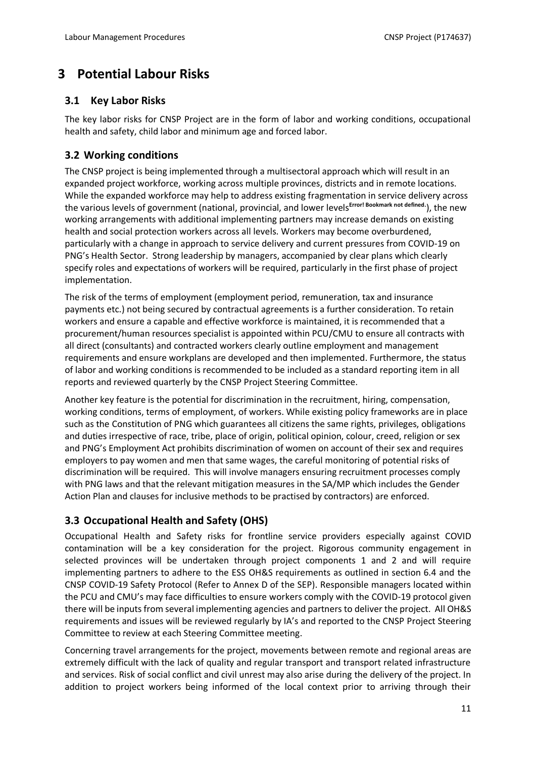# <span id="page-10-0"></span>**3 Potential Labour Risks**

#### <span id="page-10-1"></span>**3.1 Key Labor Risks**

The key labor risks for CNSP Project are in the form of labor and working conditions, occupational health and safety, child labor and minimum age and forced labor.

### <span id="page-10-2"></span>**3.2 Working conditions**

The CNSP project is being implemented through a multisectoral approach which will result in an expanded project workforce, working across multiple provinces, districts and in remote locations. While the expanded workforce may help to address existing fragmentation in service delivery across the various levels of government (national, provincial, and lower levels**Error! Bookmark not defined.**), the new working arrangements with additional implementing partners may increase demands on existing health and social protection workers across all levels. Workers may become overburdened, particularly with a change in approach to service delivery and current pressures from COVID-19 on PNG's Health Sector. Strong leadership by managers, accompanied by clear plans which clearly specify roles and expectations of workers will be required, particularly in the first phase of project implementation.

The risk of the terms of employment (employment period, remuneration, tax and insurance payments etc.) not being secured by contractual agreements is a further consideration. To retain workers and ensure a capable and effective workforce is maintained, it is recommended that a procurement/human resources specialist is appointed within PCU/CMU to ensure all contracts with all direct (consultants) and contracted workers clearly outline employment and management requirements and ensure workplans are developed and then implemented. Furthermore, the status of labor and working conditions is recommended to be included as a standard reporting item in all reports and reviewed quarterly by the CNSP Project Steering Committee.

Another key feature is the potential for discrimination in the recruitment, hiring, compensation, working conditions, terms of employment, of workers. While existing policy frameworks are in place such as the Constitution of PNG which guarantees all citizens the same rights, privileges, obligations and duties irrespective of race, tribe, place of origin, political opinion, colour, creed, religion or sex and PNG's Employment Act prohibits discrimination of women on account of their sex and requires employers to pay women and men that same wages, the careful monitoring of potential risks of discrimination will be required. This will involve managers ensuring recruitment processes comply with PNG laws and that the relevant mitigation measures in the SA/MP which includes the Gender Action Plan and clauses for inclusive methods to be practised by contractors) are enforced.

## <span id="page-10-3"></span>**3.3 Occupational Health and Safety (OHS)**

Occupational Health and Safety risks for frontline service providers especially against COVID contamination will be a key consideration for the project. Rigorous community engagement in selected provinces will be undertaken through project components 1 and 2 and will require implementing partners to adhere to the ESS OH&S requirements as outlined in section 6.4 and the CNSP COVID-19 Safety Protocol (Refer to Annex D of the SEP). Responsible managers located within the PCU and CMU's may face difficulties to ensure workers comply with the COVID-19 protocol given there will be inputs from several implementing agencies and partners to deliver the project. All OH&S requirements and issues will be reviewed regularly by IA's and reported to the CNSP Project Steering Committee to review at each Steering Committee meeting.

Concerning travel arrangements for the project, movements between remote and regional areas are extremely difficult with the lack of quality and regular transport and transport related infrastructure and services. Risk of social conflict and civil unrest may also arise during the delivery of the project. In addition to project workers being informed of the local context prior to arriving through their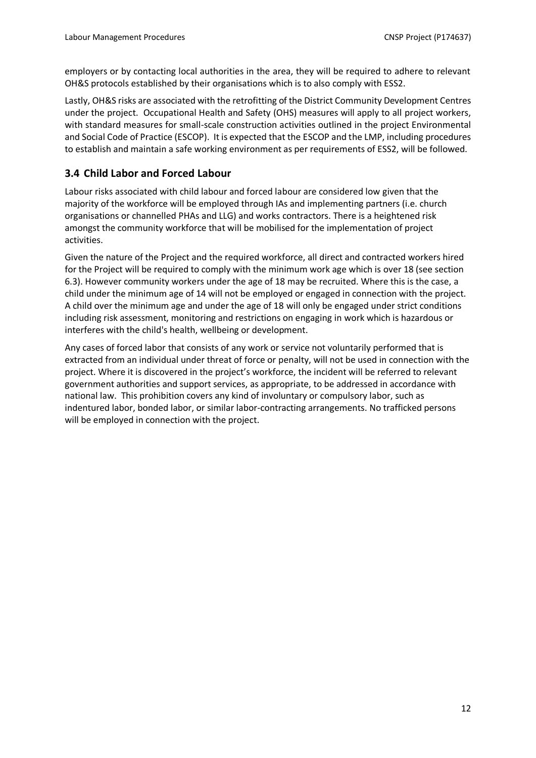employers or by contacting local authorities in the area, they will be required to adhere to relevant OH&S protocols established by their organisations which is to also comply with ESS2.

Lastly, OH&S risks are associated with the retrofitting of the District Community Development Centres under the project. Occupational Health and Safety (OHS) measures will apply to all project workers, with standard measures for small-scale construction activities outlined in the project Environmental and Social Code of Practice (ESCOP). It is expected that the ESCOP and the LMP, including procedures to establish and maintain a safe working environment as per requirements of ESS2, will be followed.

#### <span id="page-11-0"></span>**3.4 Child Labor and Forced Labour**

Labour risks associated with child labour and forced labour are considered low given that the majority of the workforce will be employed through IAs and implementing partners (i.e. church organisations or channelled PHAs and LLG) and works contractors. There is a heightened risk amongst the community workforce that will be mobilised for the implementation of project activities.

Given the nature of the Project and the required workforce, all direct and contracted workers hired for the Project will be required to comply with the minimum work age which is over 18 (see section 6.3). However community workers under the age of 18 may be recruited. Where this is the case, a child under the minimum age of 14 will not be employed or engaged in connection with the project. A child over the minimum age and under the age of 18 will only be engaged under strict conditions including risk assessment, monitoring and restrictions on engaging in work which is hazardous or interferes with the child's health, wellbeing or development.

Any cases of forced labor that consists of any work or service not voluntarily performed that is extracted from an individual under threat of force or penalty, will not be used in connection with the project. Where it is discovered in the project's workforce, the incident will be referred to relevant government authorities and support services, as appropriate, to be addressed in accordance with national law. This prohibition covers any kind of involuntary or compulsory labor, such as indentured labor, bonded labor, or similar labor-contracting arrangements. No trafficked persons will be employed in connection with the project.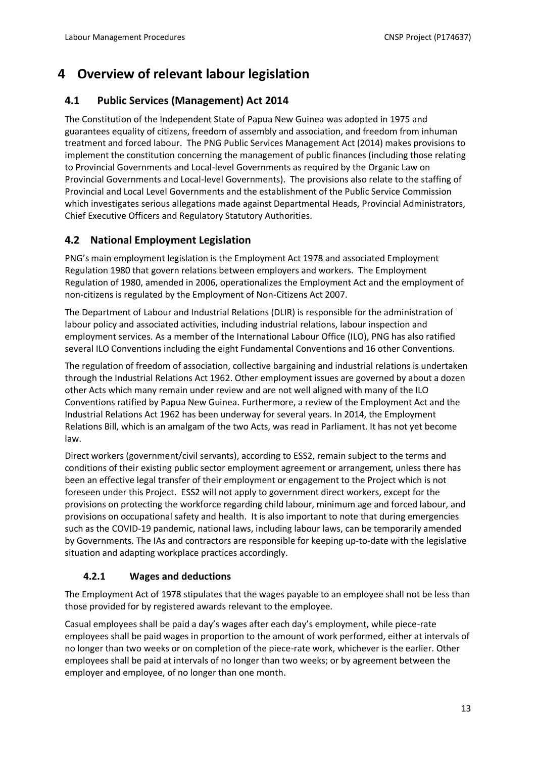# <span id="page-12-0"></span>**4 Overview of relevant labour legislation**

#### <span id="page-12-1"></span>**4.1 Public Services (Management) Act 2014**

The [Constitution of the Independent State of Papua New Guinea](http://www.paclii.org/pg/legis/consol_act/cotisopng534/) was adopted in 1975 and guarantees equality of citizens, freedom of assembly and association, and freedom from inhuman treatment and forced labour. The PNG Public Services Management Act (2014) makes provisions to implement the constitution concerning the management of public finances (including those relating to Provincial Governments and Local-level Governments as required by the Organic Law on Provincial Governments and Local-level Governments). The provisions also relate to the staffing of Provincial and Local Level Governments and the establishment of the Public Service Commission which investigates serious allegations made against Departmental Heads, Provincial Administrators, Chief Executive Officers and Regulatory Statutory Authorities.

#### <span id="page-12-2"></span>**4.2 National Employment Legislation**

PNG's main employment legislation is the Employment Act 1978 and associated Employment Regulation 1980 that govern relations between employers and workers. The [Employment](https://www.ilo.org/dyn/travail/docs/1101/Employment%20Regulations%201980%20(amended%20as%20at%202006).pdf)  [Regulation of 1980,](https://www.ilo.org/dyn/travail/docs/1101/Employment%20Regulations%201980%20(amended%20as%20at%202006).pdf) amended in 2006, operationalizes the Employment Act and the employment of non-citizens is regulated by the Employment of Non-Citizens Act 2007.

The Department of Labour and Industrial Relations (DLIR) is responsible for the administration of labour policy and associated activities, including industrial relations, labour inspection and employment services. As a member of the International Labour Office (ILO), PNG has also ratified several ILO Conventions including the eight Fundamental Conventions and 16 other Conventions.

The regulation of freedom of association, collective bargaining and industrial relations is undertaken through the [Industrial Relations Act 1962.](https://www.ilo.org/dyn/natlex/natlex4.detail?p_lang=en&p_isn=65908&p_country=PNG&p_count=170) Other employment issues are governed by about a dozen other Acts which many remain under review and are not well aligned with many of the ILO Conventions ratified by Papua New Guinea. Furthermore, a review of the Employment Act and the Industrial Relations Act 1962 has been underway for several years. In 2014, the Employment Relations Bill, which is an amalgam of the two Acts, was read in Parliament. It has not yet become law.

Direct workers (government/civil servants), according to ESS2, remain subject to the terms and conditions of their existing public sector employment agreement or arrangement, unless there has been an effective legal transfer of their employment or engagement to the Project which is not foreseen under this Project. ESS2 will not apply to government direct workers, except for the provisions on protecting the workforce regarding child labour, minimum age and forced labour, and provisions on occupational safety and health. It is also important to note that during emergencies such as the COVID-19 pandemic, national laws, including labour laws, can be temporarily amended by Governments. The IAs and contractors are responsible for keeping up-to-date with the legislative situation and adapting workplace practices accordingly.

#### <span id="page-12-3"></span>**4.2.1 Wages and deductions**

The Employment Act of 1978 stipulates that the wages payable to an employee shall not be less than those provided for by registered awards relevant to the employee.

Casual employees shall be paid a day's wages after each day's employment, while piece-rate employees shall be paid wages in proportion to the amount of work performed, either at intervals of no longer than two weeks or on completion of the piece-rate work, whichever is the earlier. Other employees shall be paid at intervals of no longer than two weeks; or by agreement between the employer and employee, of no longer than one month.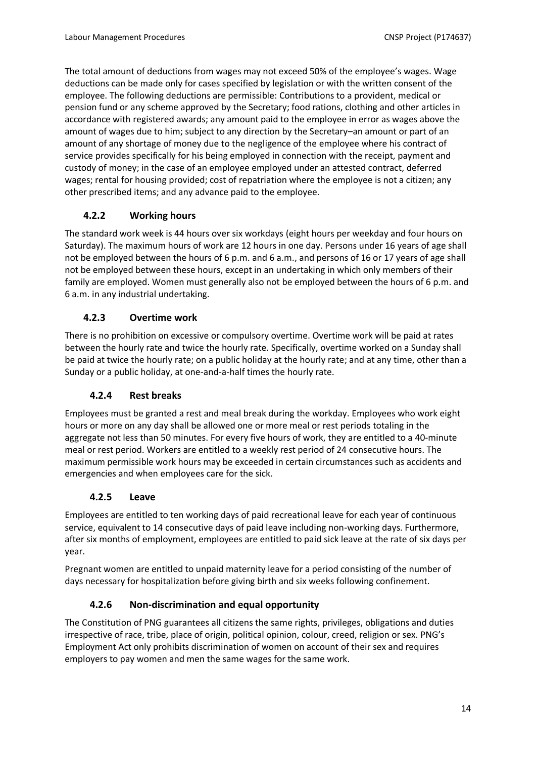The total amount of deductions from wages may not exceed 50% of the employee's wages. Wage deductions can be made only for cases specified by legislation or with the written consent of the employee. The following deductions are permissible: Contributions to a provident, medical or pension fund or any scheme approved by the Secretary; food rations, clothing and other articles in accordance with registered awards; any amount paid to the employee in error as wages above the amount of wages due to him; subject to any direction by the Secretary–an amount or part of an amount of any shortage of money due to the negligence of the employee where his contract of service provides specifically for his being employed in connection with the receipt, payment and custody of money; in the case of an employee employed under an attested contract, deferred wages; rental for housing provided; cost of repatriation where the employee is not a citizen; any other prescribed items; and any advance paid to the employee.

#### <span id="page-13-0"></span>**4.2.2 Working hours**

The standard work week is 44 hours over six workdays (eight hours per weekday and four hours on Saturday). The maximum hours of work are 12 hours in one day. Persons under 16 years of age shall not be employed between the hours of 6 p.m. and 6 a.m., and persons of 16 or 17 years of age shall not be employed between these hours, except in an undertaking in which only members of their family are employed. Women must generally also not be employed between the hours of 6 p.m. and 6 a.m. in any industrial undertaking.

#### <span id="page-13-1"></span>**4.2.3 Overtime work**

There is no prohibition on excessive or compulsory overtime. Overtime work will be paid at rates between the hourly rate and twice the hourly rate. Specifically, overtime worked on a Sunday shall be paid at twice the hourly rate; on a public holiday at the hourly rate; and at any time, other than a Sunday or a public holiday, at one-and-a-half times the hourly rate.

#### **4.2.4 Rest breaks**

<span id="page-13-2"></span>Employees must be granted a rest and meal break during the workday. Employees who work eight hours or more on any day shall be allowed one or more meal or rest periods totaling in the aggregate not less than 50 minutes. For every five hours of work, they are entitled to a 40-minute meal or rest period. Workers are entitled to a weekly rest period of 24 consecutive hours. The maximum permissible work hours may be exceeded in certain circumstances such as accidents and emergencies and when employees care for the sick.

#### **4.2.5 Leave**

<span id="page-13-3"></span>Employees are entitled to ten working days of paid recreational leave for each year of continuous service, equivalent to 14 consecutive days of paid leave including non-working days. Furthermore, after six months of employment, employees are entitled to paid sick leave at the rate of six days per year.

Pregnant women are entitled to unpaid maternity leave for a period consisting of the number of days necessary for hospitalization before giving birth and six weeks following confinement.

#### **4.2.6 Non-discrimination and equal opportunity**

<span id="page-13-4"></span>The Constitution of PNG guarantees all citizens the same rights, privileges, obligations and duties irrespective of race, tribe, place of origin, political opinion, colour, creed, religion or sex. PNG's Employment Act only prohibits discrimination of women on account of their sex and requires employers to pay women and men the same wages for the same work.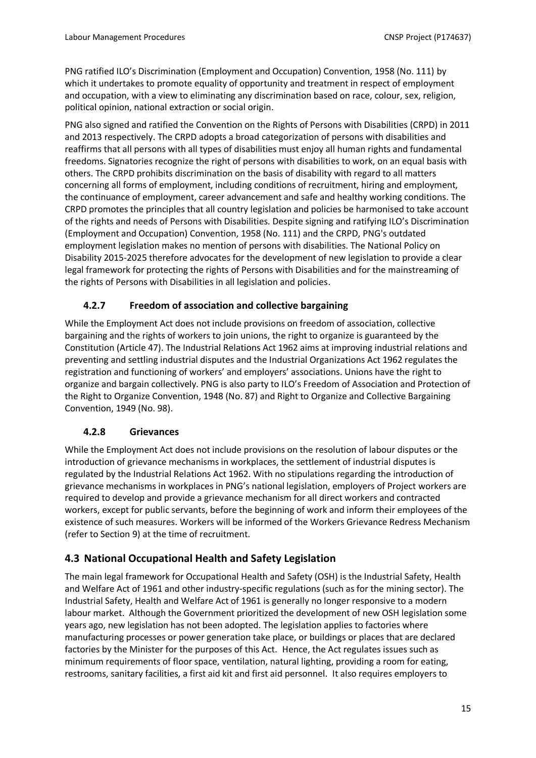PNG ratified ILO's [Discrimination \(Employment and Occupation\) Convention, 1958 \(No. 111\)](https://www.ilo.org/dyn/normlex/en/f?p=NORMLEXPUB:12100:0::NO:12100:P12100_INSTRUMENT_ID:312256:NO) by which it undertakes to promote equality of opportunity and treatment in respect of employment and occupation, with a view to eliminating any discrimination based on race, colour, sex, religion, political opinion, national extraction or social origin.

PNG also signed and ratified the Convention on the Rights of Persons with Disabilities (CRPD) in 2011 and 2013 respectively. The CRPD adopts a broad categorization of persons with disabilities and reaffirms that all persons with all types of disabilities must enjoy all human rights and fundamental freedoms. Signatories recognize the right of persons with disabilities to work, on an equal basis with others. The CRPD prohibits discrimination on the basis of disability with regard to all matters concerning all forms of employment, including conditions of recruitment, hiring and employment, the continuance of employment, career advancement and safe and healthy working conditions. The CRPD promotes the principles that all country legislation and policies be harmonised to take account of the rights and needs of Persons with Disabilities. Despite signing and ratifying ILO's [Discrimination](https://nam11.safelinks.protection.outlook.com/?url=https%3A%2F%2Fwww.ilo.org%2Fdyn%2Fnormlex%2Fen%2Ff%3Fp%3DNORMLEXPUB%3A12100%3A0%3A%3ANO%3A12100%3AP12100_INSTRUMENT_ID%3A312256%3ANO&data=04%7C01%7Ctcallander%40worldbank.org%7Ca3aecb9c71f7445f0a5908d951750a6c%7C31a2fec0266b4c67b56e2796d8f59c36%7C0%7C0%7C637630385390525508%7CUnknown%7CTWFpbGZsb3d8eyJWIjoiMC4wLjAwMDAiLCJQIjoiV2luMzIiLCJBTiI6Ik1haWwiLCJXVCI6Mn0%3D%7C1000&sdata=EPg6zABuD%2B2gGHeJZKvfPrJD4p%2FexFV5UTqXpXpQM4M%3D&reserved=0)  [\(Employment and Occupation\) Convention, 1958 \(No. 111\)](https://nam11.safelinks.protection.outlook.com/?url=https%3A%2F%2Fwww.ilo.org%2Fdyn%2Fnormlex%2Fen%2Ff%3Fp%3DNORMLEXPUB%3A12100%3A0%3A%3ANO%3A12100%3AP12100_INSTRUMENT_ID%3A312256%3ANO&data=04%7C01%7Ctcallander%40worldbank.org%7Ca3aecb9c71f7445f0a5908d951750a6c%7C31a2fec0266b4c67b56e2796d8f59c36%7C0%7C0%7C637630385390525508%7CUnknown%7CTWFpbGZsb3d8eyJWIjoiMC4wLjAwMDAiLCJQIjoiV2luMzIiLCJBTiI6Ik1haWwiLCJXVCI6Mn0%3D%7C1000&sdata=EPg6zABuD%2B2gGHeJZKvfPrJD4p%2FexFV5UTqXpXpQM4M%3D&reserved=0) and the CRPD, PNG's outdated employment legislation makes no mention of persons with disabilities. The National Policy on Disability 2015-2025 therefore advocates for the development of new legislation to provide a clear legal framework for protecting the rights of Persons with Disabilities and for the mainstreaming of the rights of Persons with Disabilities in all legislation and policies.

#### <span id="page-14-0"></span>**4.2.7 Freedom of association and collective bargaining**

While the Employment Act does not include provisions on freedom of association, collective bargaining and the rights of workers to join unions, the right to organize is guaranteed by the Constitution (Article 47). The Industrial Relations Act 1962 aims at improving industrial relations and preventing and settling industrial disputes and the Industrial Organizations Act 1962 regulates the registration and functioning of workers' and employers' associations. Unions have the right to organize and bargain collectively. PNG is also party to ILO's Freedom of Association and Protection of the Right to Organize Convention, 1948 (No. 87) and Right to Organize and Collective Bargaining Convention, 1949 (No. 98).

#### <span id="page-14-1"></span>**4.2.8 Grievances**

While the Employment Act does not include provisions on the resolution of labour disputes or the introduction of grievance mechanisms in workplaces, the settlement of industrial disputes is regulated by the Industrial Relations Act 1962. With no stipulations regarding the introduction of grievance mechanisms in workplaces in PNG's national legislation, employers of Project workers are required to develop and provide a grievance mechanism for all direct workers and contracted workers, except for public servants, before the beginning of work and inform their employees of the existence of such measures. Workers will be informed of the Workers Grievance Redress Mechanism (refer to Section 9) at the time of recruitment.

## <span id="page-14-2"></span>**4.3 National Occupational Health and Safety Legislation**

The main legal framework for Occupational Health and Safety (OSH) is the Industrial Safety, Health and Welfare Act of 1961 and other industry-specific regulations (such as for the mining sector). The Industrial Safety, Health and Welfare Act of 1961 is generally no longer responsive to a modern labour market. Although the Government prioritized the development of new OSH legislation some years ago, new legislation has not been adopted. The legislation applies to factories where manufacturing processes or power generation take place, or buildings or places that are declared factories by the Minister for the purposes of this Act. Hence, the Act regulates issues such as minimum requirements of floor space, ventilation, natural lighting, providing a room for eating, restrooms, sanitary facilities, a first aid kit and first aid personnel. It also requires employers to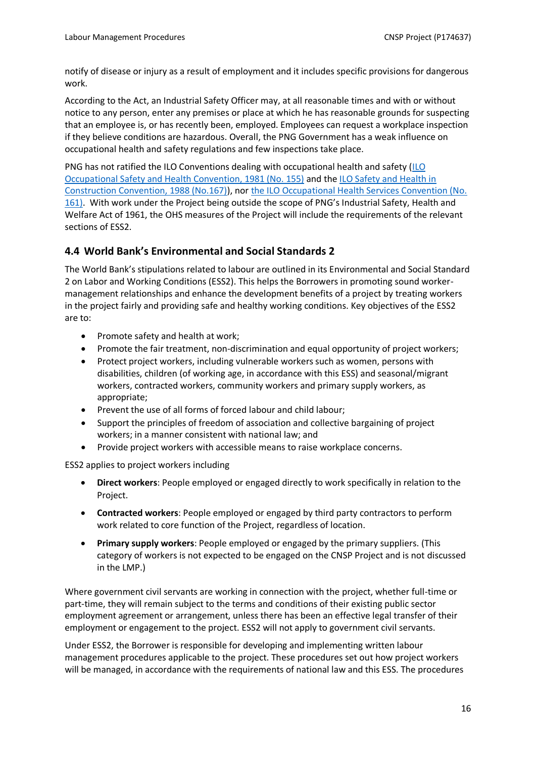notify of disease or injury as a result of employment and it includes specific provisions for dangerous work.

According to the Act, an Industrial Safety Officer may, at all reasonable times and with or without notice to any person, enter any premises or place at which he has reasonable grounds for suspecting that an employee is, or has recently been, employed. Employees can request a workplace inspection if they believe conditions are hazardous. Overall, the PNG Government has a weak influence on occupational health and safety regulations and few inspections take place.

PNG has not ratified the ILO Conventions dealing with occupational health and safety [\(ILO](https://www.ilo.org/dyn/normlex/en/f?p=NORMLEXPUB:12100:0::NO::P12100_ILO_CODE:C155)  [Occupational Safety and Health Convention, 1981 \(No. 155\)](https://www.ilo.org/dyn/normlex/en/f?p=NORMLEXPUB:12100:0::NO::P12100_ILO_CODE:C155) and the [ILO Safety and Health in](https://www.ilo.org/dyn/normlex/en/f?p=NORMLEXPUB:12100:0::NO::P12100_ILO_CODE:C167)  [Construction Convention, 1988 \(No.167\)\)](https://www.ilo.org/dyn/normlex/en/f?p=NORMLEXPUB:12100:0::NO::P12100_ILO_CODE:C167), nor [the ILO Occupational Health Services Convention \(No.](https://www.ilo.org/dyn/normlex/en/f?p=NORMLEXPUB:12100:0::NO::P12100_ILO_CODE:C161)  [161\).](https://www.ilo.org/dyn/normlex/en/f?p=NORMLEXPUB:12100:0::NO::P12100_ILO_CODE:C161) With work under the Project being outside the scope of PNG's Industrial Safety, Health and Welfare Act of 1961, the OHS measures of the Project will include the requirements of the relevant sections of ESS2.

#### <span id="page-15-0"></span>**4.4 World Bank's Environmental and Social Standards 2**

The World Bank's stipulations related to labour are outlined in its Environmental and Social Standard 2 on Labor and Working Conditions (ESS2). This helps the Borrowers in promoting sound workermanagement relationships and enhance the development benefits of a project by treating workers in the project fairly and providing safe and healthy working conditions. Key objectives of the ESS2 are to:

- Promote safety and health at work;
- Promote the fair treatment, non-discrimination and equal opportunity of project workers;
- Protect project workers, including vulnerable workers such as women, persons with disabilities, children (of working age, in accordance with this ESS) and seasonal/migrant workers, contracted workers, community workers and primary supply workers, as appropriate;
- Prevent the use of all forms of forced labour and child labour;
- Support the principles of freedom of association and collective bargaining of project workers; in a manner consistent with national law; and
- Provide project workers with accessible means to raise workplace concerns.

ESS2 applies to project workers including

- **Direct workers**: People employed or engaged directly to work specifically in relation to the Project.
- **Contracted workers**: People employed or engaged by third party contractors to perform work related to core function of the Project, regardless of location.
- **Primary supply workers**: People employed or engaged by the primary suppliers. (This category of workers is not expected to be engaged on the CNSP Project and is not discussed in the LMP.)

Where government civil servants are working in connection with the project, whether full-time or part-time, they will remain subject to the terms and conditions of their existing public sector employment agreement or arrangement, unless there has been an effective legal transfer of their employment or engagement to the project. ESS2 will not apply to government civil servants.

Under ESS2, the Borrower is responsible for developing and implementing written labour management procedures applicable to the project. These procedures set out how project workers will be managed, in accordance with the requirements of national law and this ESS. The procedures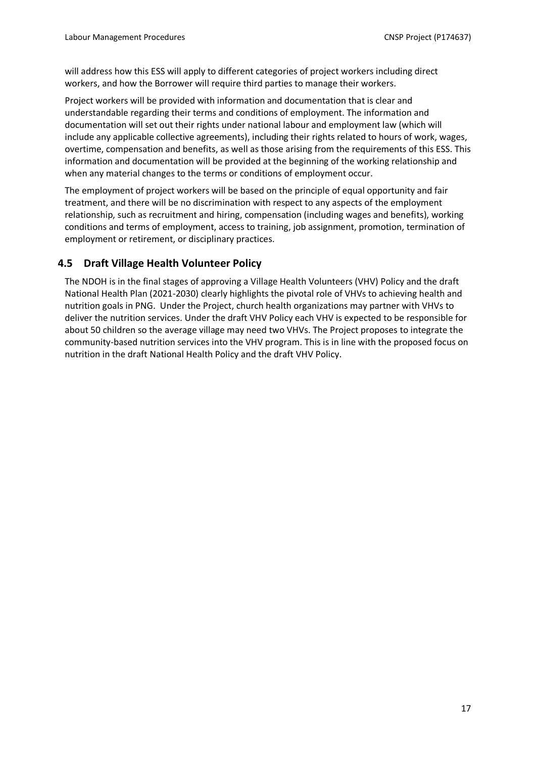will address how this ESS will apply to different categories of project workers including direct workers, and how the Borrower will require third parties to manage their workers.

Project workers will be provided with information and documentation that is clear and understandable regarding their terms and conditions of employment. The information and documentation will set out their rights under national labour and employment law (which will include any applicable collective agreements), including their rights related to hours of work, wages, overtime, compensation and benefits, as well as those arising from the requirements of this ESS. This information and documentation will be provided at the beginning of the working relationship and when any material changes to the terms or conditions of employment occur.

The employment of project workers will be based on the principle of equal opportunity and fair treatment, and there will be no discrimination with respect to any aspects of the employment relationship, such as recruitment and hiring, compensation (including wages and benefits), working conditions and terms of employment, access to training, job assignment, promotion, termination of employment or retirement, or disciplinary practices.

#### <span id="page-16-0"></span>**4.5 Draft Village Health Volunteer Policy**

The NDOH is in the final stages of approving a Village Health Volunteers (VHV) Policy and the draft National Health Plan (2021-2030) clearly highlights the pivotal role of VHVs to achieving health and nutrition goals in PNG. Under the Project, church health organizations may partner with VHVs to deliver the nutrition services. Under the draft VHV Policy each VHV is expected to be responsible for about 50 children so the average village may need two VHVs. The Project proposes to integrate the community-based nutrition services into the VHV program. This is in line with the proposed focus on nutrition in the draft National Health Policy and the draft VHV Policy.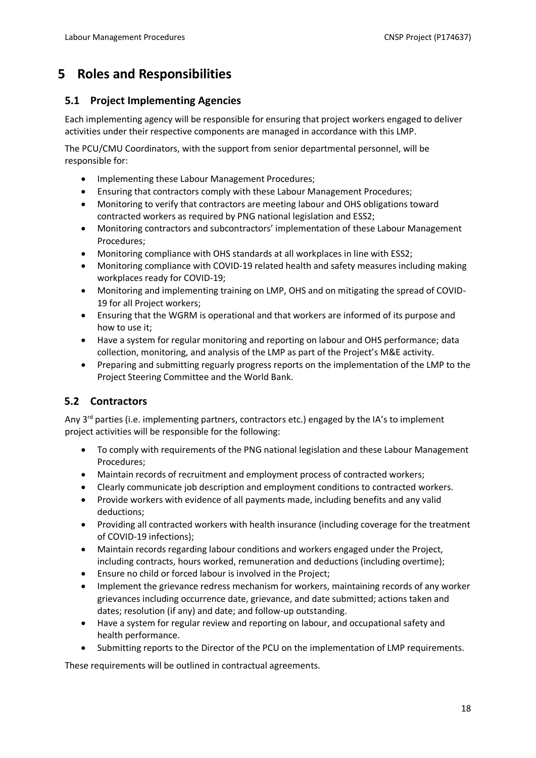## <span id="page-17-0"></span>**5 Roles and Responsibilities**

#### <span id="page-17-1"></span>**5.1 Project Implementing Agencies**

Each implementing agency will be responsible for ensuring that project workers engaged to deliver activities under their respective components are managed in accordance with this LMP.

The PCU/CMU Coordinators, with the support from senior departmental personnel, will be responsible for:

- Implementing these Labour Management Procedures;
- Ensuring that contractors comply with these Labour Management Procedures;
- Monitoring to verify that contractors are meeting labour and OHS obligations toward contracted workers as required by PNG national legislation and ESS2;
- Monitoring contractors and subcontractors' implementation of these Labour Management Procedures;
- Monitoring compliance with OHS standards at all workplaces in line with ESS2;
- Monitoring compliance with COVID-19 related health and safety measures including making workplaces ready for COVID-19;
- Monitoring and implementing training on LMP, OHS and on mitigating the spread of COVID-19 for all Project workers;
- Ensuring that the WGRM is operational and that workers are informed of its purpose and how to use it;
- Have a system for regular monitoring and reporting on labour and OHS performance; data collection, monitoring, and analysis of the LMP as part of the Project's M&E activity.
- Preparing and submitting reguarly progress reports on the implementation of the LMP to the Project Steering Committee and the World Bank.

#### <span id="page-17-2"></span>**5.2 Contractors**

Any 3<sup>rd</sup> parties (i.e. implementing partners, contractors etc.) engaged by the IA's to implement project activities will be responsible for the following:

- To comply with requirements of the PNG national legislation and these Labour Management Procedures;
- Maintain records of recruitment and employment process of contracted workers;
- Clearly communicate job description and employment conditions to contracted workers.
- Provide workers with evidence of all payments made, including benefits and any valid deductions;
- Providing all contracted workers with health insurance (including coverage for the treatment of COVID-19 infections);
- Maintain records regarding labour conditions and workers engaged under the Project, including contracts, hours worked, remuneration and deductions (including overtime);
- Ensure no child or forced labour is involved in the Project;
- Implement the grievance redress mechanism for workers, maintaining records of any worker grievances including occurrence date, grievance, and date submitted; actions taken and dates; resolution (if any) and date; and follow-up outstanding.
- Have a system for regular review and reporting on labour, and occupational safety and health performance.
- Submitting reports to the Director of the PCU on the implementation of LMP requirements.

These requirements will be outlined in contractual agreements.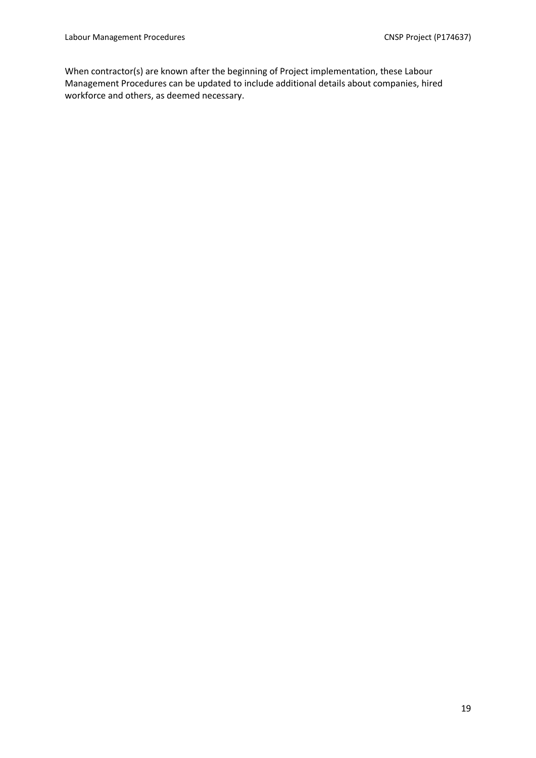When contractor(s) are known after the beginning of Project implementation, these Labour Management Procedures can be updated to include additional details about companies, hired workforce and others, as deemed necessary.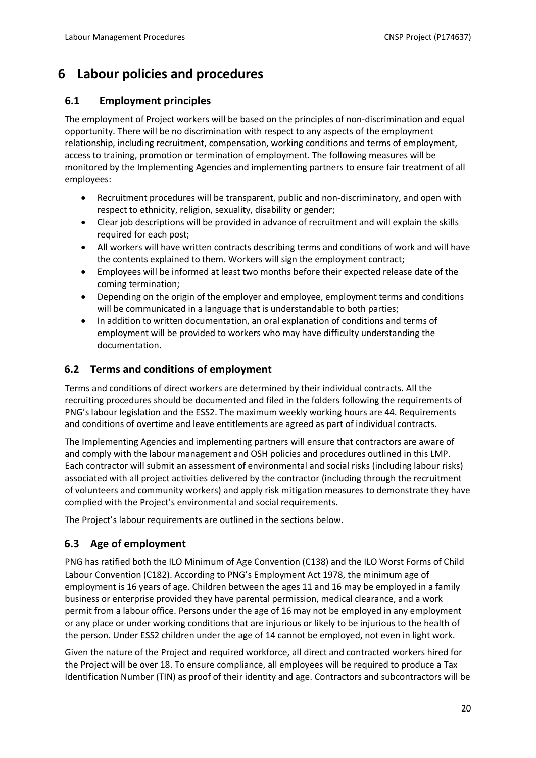# <span id="page-19-0"></span>**6 Labour policies and procedures**

#### <span id="page-19-1"></span>**6.1 Employment principles**

The employment of Project workers will be based on the principles of non-discrimination and equal opportunity. There will be no discrimination with respect to any aspects of the employment relationship, including recruitment, compensation, working conditions and terms of employment, access to training, promotion or termination of employment. The following measures will be monitored by the Implementing Agencies and implementing partners to ensure fair treatment of all employees:

- Recruitment procedures will be transparent, public and non-discriminatory, and open with respect to ethnicity, religion, sexuality, disability or gender;
- Clear job descriptions will be provided in advance of recruitment and will explain the skills required for each post;
- All workers will have written contracts describing terms and conditions of work and will have the contents explained to them. Workers will sign the employment contract;
- Employees will be informed at least two months before their expected release date of the coming termination;
- Depending on the origin of the employer and employee, employment terms and conditions will be communicated in a language that is understandable to both parties;
- In addition to written documentation, an oral explanation of conditions and terms of employment will be provided to workers who may have difficulty understanding the documentation.

#### <span id="page-19-2"></span>**6.2 Terms and conditions of employment**

Terms and conditions of direct workers are determined by their individual contracts. All the recruiting procedures should be documented and filed in the folders following the requirements of PNG's labour legislation and the ESS2. The maximum weekly working hours are 44. Requirements and conditions of overtime and leave entitlements are agreed as part of individual contracts.

The Implementing Agencies and implementing partners will ensure that contractors are aware of and comply with the labour management and OSH policies and procedures outlined in this LMP. Each contractor will submit an assessment of environmental and social risks (including labour risks) associated with all project activities delivered by the contractor (including through the recruitment of volunteers and community workers) and apply risk mitigation measures to demonstrate they have complied with the Project's environmental and social requirements.

The Project's labour requirements are outlined in the sections below.

## <span id="page-19-3"></span>**6.3 Age of employment**

PNG has ratified both the ILO Minimum of Age Convention (C138) and the ILO Worst Forms of Child Labour Convention (C182). According to PNG's Employment Act 1978, the minimum age of employment is 16 years of age. Children between the ages 11 and 16 may be employed in a family business or enterprise provided they have parental permission, medical clearance, and a work permit from a labour office. Persons under the age of 16 may not be employed in any employment or any place or under working conditions that are injurious or likely to be injurious to the health of the person. Under ESS2 children under the age of 14 cannot be employed, not even in light work.

Given the nature of the Project and required workforce, all direct and contracted workers hired for the Project will be over 18. To ensure compliance, all employees will be required to produce a Tax Identification Number (TIN) as proof of their identity and age. Contractors and subcontractors will be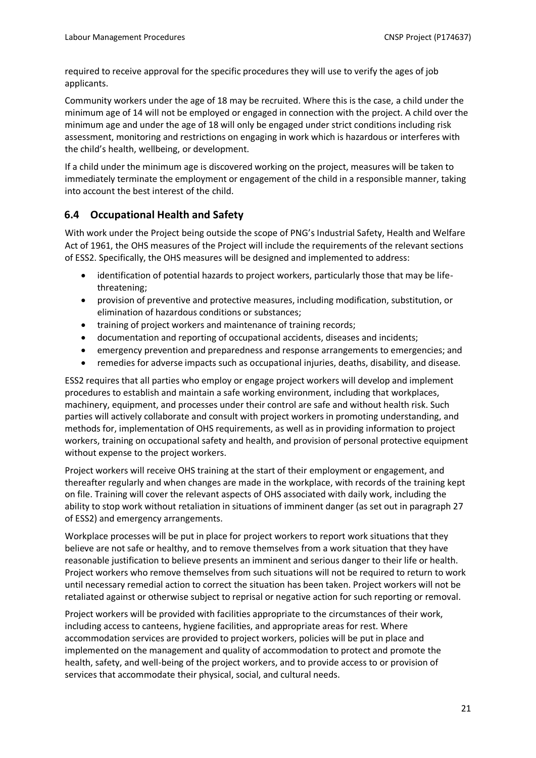required to receive approval for the specific procedures they will use to verify the ages of job applicants.

Community workers under the age of 18 may be recruited. Where this is the case, a child under the minimum age of 14 will not be employed or engaged in connection with the project. A child over the minimum age and under the age of 18 will only be engaged under strict conditions including risk assessment, monitoring and restrictions on engaging in work which is hazardous or interferes with the child's health, wellbeing, or development.

If a child under the minimum age is discovered working on the project, measures will be taken to immediately terminate the employment or engagement of the child in a responsible manner, taking into account the best interest of the child.

#### <span id="page-20-0"></span>**6.4 Occupational Health and Safety**

With work under the Project being outside the scope of PNG's Industrial Safety, Health and Welfare Act of 1961, the OHS measures of the Project will include the requirements of the relevant sections of ESS2. Specifically, the OHS measures will be designed and implemented to address:

- identification of potential hazards to project workers, particularly those that may be lifethreatening;
- provision of preventive and protective measures, including modification, substitution, or elimination of hazardous conditions or substances;
- training of project workers and maintenance of training records;
- documentation and reporting of occupational accidents, diseases and incidents;
- emergency prevention and preparedness and response arrangements to emergencies; and
- remedies for adverse impacts such as occupational injuries, deaths, disability, and disease.

ESS2 requires that all parties who employ or engage project workers will develop and implement procedures to establish and maintain a safe working environment, including that workplaces, machinery, equipment, and processes under their control are safe and without health risk. Such parties will actively collaborate and consult with project workers in promoting understanding, and methods for, implementation of OHS requirements, as well as in providing information to project workers, training on occupational safety and health, and provision of personal protective equipment without expense to the project workers.

Project workers will receive OHS training at the start of their employment or engagement, and thereafter regularly and when changes are made in the workplace, with records of the training kept on file. Training will cover the relevant aspects of OHS associated with daily work, including the ability to stop work without retaliation in situations of imminent danger (as set out in paragraph 27 of ESS2) and emergency arrangements.

Workplace processes will be put in place for project workers to report work situations that they believe are not safe or healthy, and to remove themselves from a work situation that they have reasonable justification to believe presents an imminent and serious danger to their life or health. Project workers who remove themselves from such situations will not be required to return to work until necessary remedial action to correct the situation has been taken. Project workers will not be retaliated against or otherwise subject to reprisal or negative action for such reporting or removal.

Project workers will be provided with facilities appropriate to the circumstances of their work, including access to canteens, hygiene facilities, and appropriate areas for rest. Where accommodation services are provided to project workers, policies will be put in place and implemented on the management and quality of accommodation to protect and promote the health, safety, and well-being of the project workers, and to provide access to or provision of services that accommodate their physical, social, and cultural needs.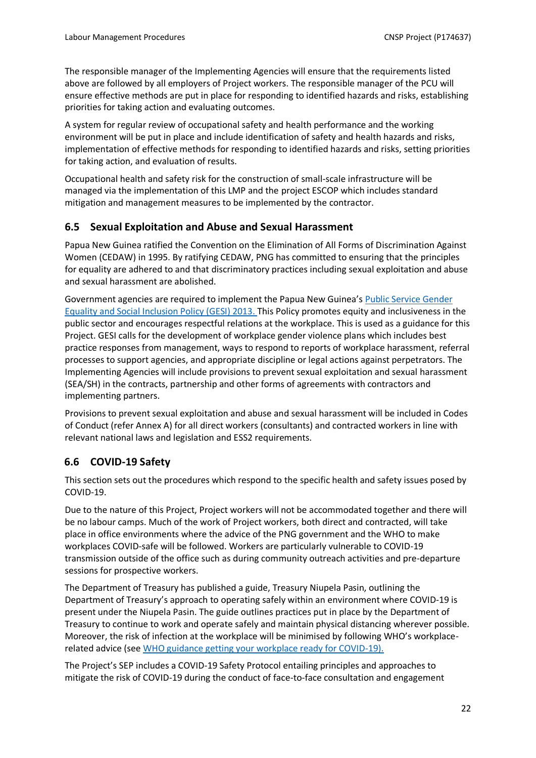The responsible manager of the Implementing Agencies will ensure that the requirements listed above are followed by all employers of Project workers. The responsible manager of the PCU will ensure effective methods are put in place for responding to identified hazards and risks, establishing priorities for taking action and evaluating outcomes.

A system for regular review of occupational safety and health performance and the working environment will be put in place and include identification of safety and health hazards and risks, implementation of effective methods for responding to identified hazards and risks, setting priorities for taking action, and evaluation of results.

Occupational health and safety risk for the construction of small-scale infrastructure will be managed via the implementation of this LMP and the project ESCOP which includes standard mitigation and management measures to be implemented by the contractor.

#### <span id="page-21-0"></span>**6.5 Sexual Exploitation and Abuse and Sexual Harassment**

Papua New Guinea ratified the Convention on the Elimination of All Forms of Discrimination Against Women (CEDAW) in 1995. By ratifying CEDAW, PNG has committed to ensuring that the principles for equality are adhered to and that discriminatory practices including sexual exploitation and abuse and sexual harassment are abolished.

Government agencies are required to implement the Papua New Guinea's [Public Service Gender](https://pngdpm-web.s3.amazonaws.com/documents/doc_GESIPolicyv14210113.pdf)  [Equality and Social Inclusion Policy \(GESI\) 2013.](https://pngdpm-web.s3.amazonaws.com/documents/doc_GESIPolicyv14210113.pdf) This Policy promotes equity and inclusiveness in the public sector and encourages respectful relations at the workplace. This is used as a guidance for this Project. GESI calls for the development of workplace gender violence plans which includes best practice responses from management, ways to respond to reports of workplace harassment, referral processes to support agencies, and appropriate discipline or legal actions against perpetrators. The Implementing Agencies will include provisions to prevent sexual exploitation and sexual harassment (SEA/SH) in the contracts, partnership and other forms of agreements with contractors and implementing partners.

Provisions to prevent sexual exploitation and abuse and sexual harassment will be included in Codes of Conduct (refer Annex A) for all direct workers (consultants) and contracted workers in line with relevant national laws and legislation and ESS2 requirements.

#### <span id="page-21-1"></span>**6.6 COVID-19 Safety**

This section sets out the procedures which respond to the specific health and safety issues posed by COVID-19.

Due to the nature of this Project, Project workers will not be accommodated together and there will be no labour camps. Much of the work of Project workers, both direct and contracted, will take place in office environments where the advice of the PNG government and the WHO to make workplaces COVID-safe will be followed. Workers are particularly vulnerable to COVID-19 transmission outside of the office such as during community outreach activities and pre-departure sessions for prospective workers.

The Department of Treasury has published a guide, Treasury Niupela Pasin, outlining the Department of Treasury's approach to operating safely within an environment where COVID-19 is present under the Niupela Pasin. The guide outlines practices put in place by the Department of Treasury to continue to work and operate safely and maintain physical distancing wherever possible. Moreover, the risk of infection at the workplace will be minimised by following WHO's workplacerelated advice (se[e WHO guidance getting your workplace ready for COVID-19\)](https://www.who.int/docs/default-source/coronaviruse/getting-workplace-ready-for-covid-19.pdf).

The Project's SEP includes a COVID-19 Safety Protocol entailing principles and approaches to mitigate the risk of COVID-19 during the conduct of face-to-face consultation and engagement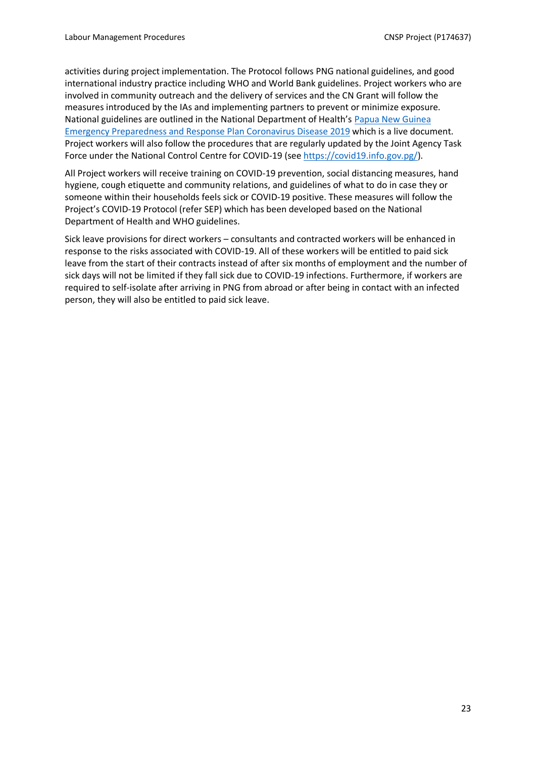activities during project implementation. The Protocol follows PNG national guidelines, and good international industry practice including WHO and World Bank guidelines. Project workers who are involved in community outreach and the delivery of services and the CN Grant will follow the measures introduced by the IAs and implementing partners to prevent or minimize exposure. National guidelines are outlined in the National Department of Health's [Papua New Guinea](https://www.health.gov.pg/covid19/PNGEPRPCOVID19.pdf)  [Emergency Preparedness and Response Plan Coronavirus Disease 2019](https://www.health.gov.pg/covid19/PNGEPRPCOVID19.pdf) which is a live document. Project workers will also follow the procedures that are regularly updated by the Joint Agency Task Force under the National Control Centre for COVID-19 (see [https://covid19.info.gov.pg/\)](https://covid19.info.gov.pg/).

All Project workers will receive training on COVID-19 prevention, social distancing measures, hand hygiene, cough etiquette and community relations, and guidelines of what to do in case they or someone within their households feels sick or COVID-19 positive. These measures will follow the Project's COVID-19 Protocol (refer SEP) which has been developed based on the National Department of Health and WHO guidelines.

Sick leave provisions for direct workers – consultants and contracted workers will be enhanced in response to the risks associated with COVID-19. All of these workers will be entitled to paid sick leave from the start of their contracts instead of after six months of employment and the number of sick days will not be limited if they fall sick due to COVID-19 infections. Furthermore, if workers are required to self-isolate after arriving in PNG from abroad or after being in contact with an infected person, they will also be entitled to paid sick leave.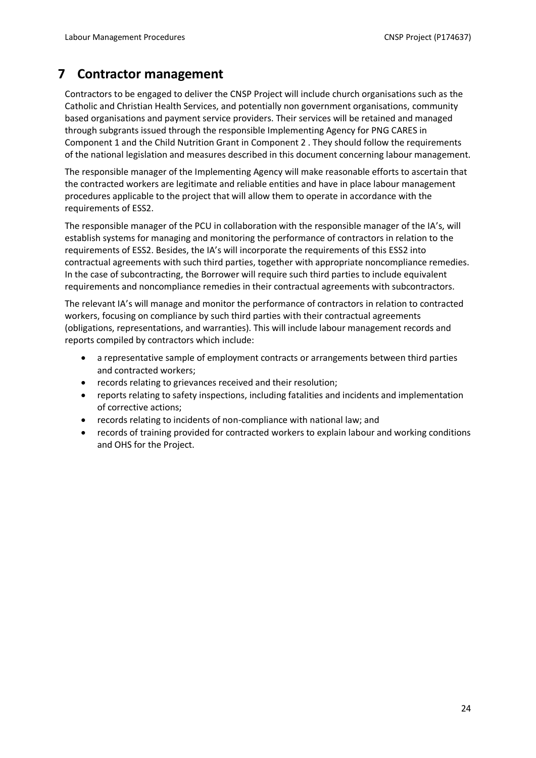## <span id="page-23-0"></span>**7 Contractor management**

Contractors to be engaged to deliver the CNSP Project will include church organisations such as the Catholic and Christian Health Services, and potentially non government organisations, community based organisations and payment service providers. Their services will be retained and managed through subgrants issued through the responsible Implementing Agency for PNG CARES in Component 1 and the Child Nutrition Grant in Component 2 . They should follow the requirements of the national legislation and measures described in this document concerning labour management.

The responsible manager of the Implementing Agency will make reasonable efforts to ascertain that the contracted workers are legitimate and reliable entities and have in place labour management procedures applicable to the project that will allow them to operate in accordance with the requirements of ESS2.

The responsible manager of the PCU in collaboration with the responsible manager of the IA's, will establish systems for managing and monitoring the performance of contractors in relation to the requirements of ESS2. Besides, the IA's will incorporate the requirements of this ESS2 into contractual agreements with such third parties, together with appropriate noncompliance remedies. In the case of subcontracting, the Borrower will require such third parties to include equivalent requirements and noncompliance remedies in their contractual agreements with subcontractors.

The relevant IA's will manage and monitor the performance of contractors in relation to contracted workers, focusing on compliance by such third parties with their contractual agreements (obligations, representations, and warranties). This will include labour management records and reports compiled by contractors which include:

- a representative sample of employment contracts or arrangements between third parties and contracted workers;
- records relating to grievances received and their resolution;
- reports relating to safety inspections, including fatalities and incidents and implementation of corrective actions;
- records relating to incidents of non-compliance with national law; and
- records of training provided for contracted workers to explain labour and working conditions and OHS for the Project.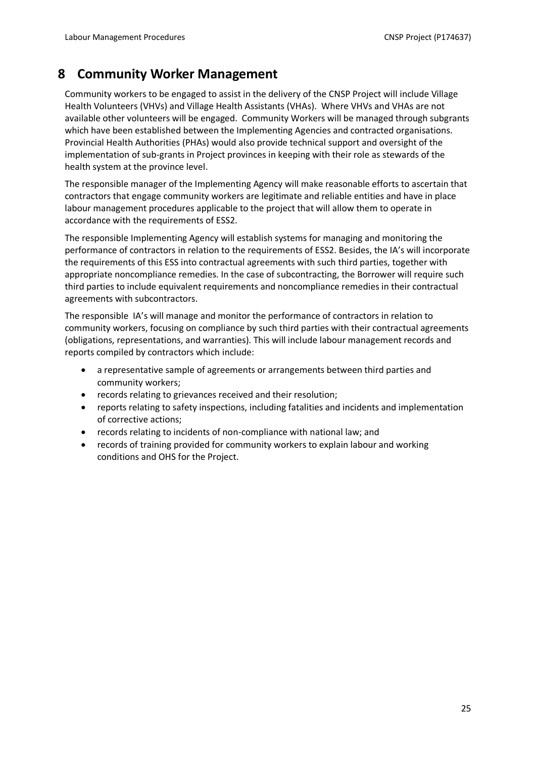## <span id="page-24-0"></span>**8 Community Worker Management**

Community workers to be engaged to assist in the delivery of the CNSP Project will include Village Health Volunteers (VHVs) and Village Health Assistants (VHAs). Where VHVs and VHAs are not available other volunteers will be engaged. Community Workers will be managed through subgrants which have been established between the Implementing Agencies and contracted organisations. Provincial Health Authorities (PHAs) would also provide technical support and oversight of the implementation of sub-grants in Project provinces in keeping with their role as stewards of the health system at the province level.

The responsible manager of the Implementing Agency will make reasonable efforts to ascertain that contractors that engage community workers are legitimate and reliable entities and have in place labour management procedures applicable to the project that will allow them to operate in accordance with the requirements of ESS2.

The responsible Implementing Agency will establish systems for managing and monitoring the performance of contractors in relation to the requirements of ESS2. Besides, the IA's will incorporate the requirements of this ESS into contractual agreements with such third parties, together with appropriate noncompliance remedies. In the case of subcontracting, the Borrower will require such third parties to include equivalent requirements and noncompliance remedies in their contractual agreements with subcontractors.

The responsible IA's will manage and monitor the performance of contractors in relation to community workers, focusing on compliance by such third parties with their contractual agreements (obligations, representations, and warranties). This will include labour management records and reports compiled by contractors which include:

- a representative sample of agreements or arrangements between third parties and community workers;
- records relating to grievances received and their resolution;
- reports relating to safety inspections, including fatalities and incidents and implementation of corrective actions;
- records relating to incidents of non-compliance with national law; and
- records of training provided for community workers to explain labour and working conditions and OHS for the Project.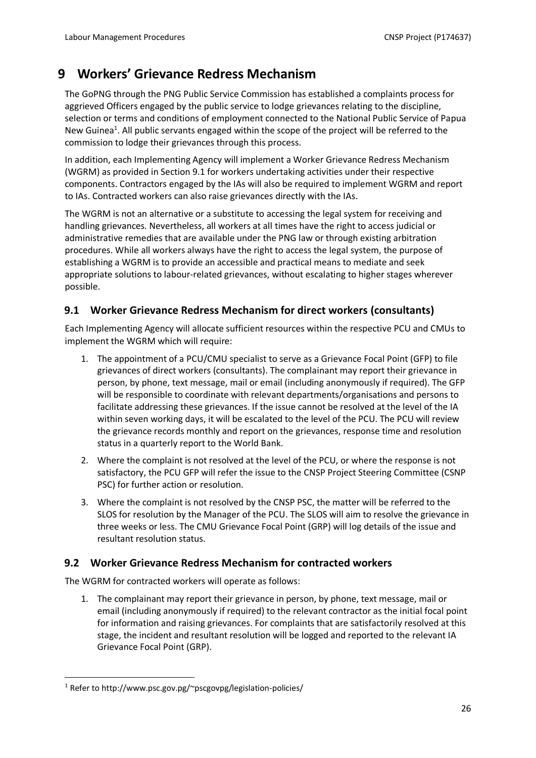## <span id="page-25-0"></span>**9 Workers' Grievance Redress Mechanism**

The GoPNG through the PNG Public Service Commission has established a complaints process for aggrieved Officers engaged by the public service to lodge grievances relating to the discipline, selection or terms and conditions of employment connected to the National Public Service of Papua New Guinea<sup>1</sup>. All public servants engaged within the scope of the project will be referred to the commission to lodge their grievances through this process.

In addition, each Implementing Agency will implement a Worker Grievance Redress Mechanism (WGRM) as provided in Section 9.1 for workers undertaking activities under their respective components. Contractors engaged by the IAs will also be required to implement WGRM and report to IAs. Contracted workers can also raise grievances directly with the IAs.

The WGRM is not an alternative or a substitute to accessing the legal system for receiving and handling grievances. Nevertheless, all workers at all times have the right to access judicial or administrative remedies that are available under the PNG law or through existing arbitration procedures. While all workers always have the right to access the legal system, the purpose of establishing a WGRM is to provide an accessible and practical means to mediate and seek appropriate solutions to labour-related grievances, without escalating to higher stages wherever possible.

#### <span id="page-25-1"></span>**9.1 Worker Grievance Redress Mechanism for direct workers (consultants)**

Each Implementing Agency will allocate sufficient resources within the respective PCU and CMUs to implement the WGRM which will require:

- 1. The appointment of a PCU/CMU specialist to serve as a Grievance Focal Point (GFP) to file grievances of direct workers (consultants). The complainant may report their grievance in person, by phone, text message, mail or email (including anonymously if required). The GFP will be responsible to coordinate with relevant departments/organisations and persons to facilitate addressing these grievances. If the issue cannot be resolved at the level of the IA within seven working days, it will be escalated to the level of the PCU. The PCU will review the grievance records monthly and report on the grievances, response time and resolution status in a quarterly report to the World Bank.
- 2. Where the complaint is not resolved at the level of the PCU, or where the response is not satisfactory, the PCU GFP will refer the issue to the CNSP Project Steering Committee (CSNP PSC) for further action or resolution.
- 3. Where the complaint is not resolved by the CNSP PSC, the matter will be referred to the SLOS for resolution by the Manager of the PCU. The SLOS will aim to resolve the grievance in three weeks or less. The CMU Grievance Focal Point (GRP) will log details of the issue and resultant resolution status.

#### <span id="page-25-2"></span>**9.2 Worker Grievance Redress Mechanism for contracted workers**

The WGRM for contracted workers will operate as follows:

1. The complainant may report their grievance in person, by phone, text message, mail or email (including anonymously if required) to the relevant contractor as the initial focal point for information and raising grievances. For complaints that are satisfactorily resolved at this stage, the incident and resultant resolution will be logged and reported to the relevant IA Grievance Focal Point (GRP).

<sup>1</sup> Refer to http://www.psc.gov.pg/~pscgovpg/legislation-policies/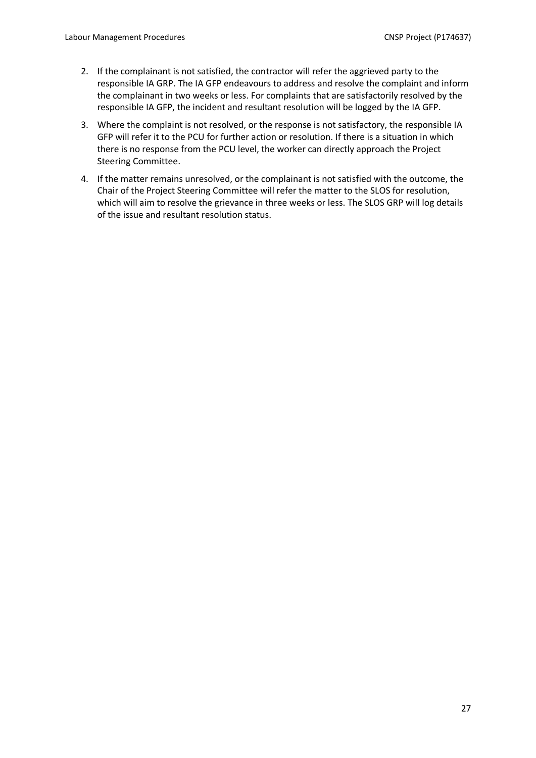- 2. If the complainant is not satisfied, the contractor will refer the aggrieved party to the responsible IA GRP. The IA GFP endeavours to address and resolve the complaint and inform the complainant in two weeks or less. For complaints that are satisfactorily resolved by the responsible IA GFP, the incident and resultant resolution will be logged by the IA GFP.
- 3. Where the complaint is not resolved, or the response is not satisfactory, the responsible IA GFP will refer it to the PCU for further action or resolution. If there is a situation in which there is no response from the PCU level, the worker can directly approach the Project Steering Committee.
- 4. If the matter remains unresolved, or the complainant is not satisfied with the outcome, the Chair of the Project Steering Committee will refer the matter to the SLOS for resolution, which will aim to resolve the grievance in three weeks or less. The SLOS GRP will log details of the issue and resultant resolution status.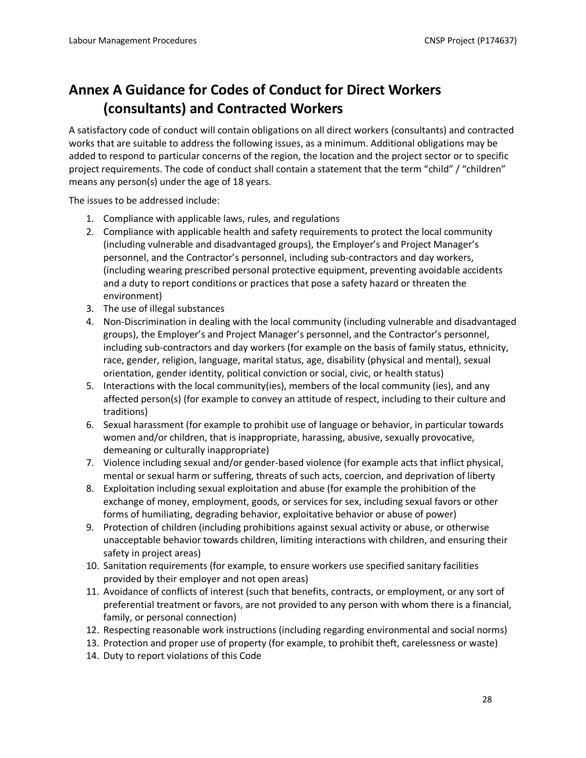# **Annex A Guidance for Codes of Conduct for Direct Workers (consultants) and Contracted Workers**

<span id="page-27-0"></span>A satisfactory code of conduct will contain obligations on all direct workers (consultants) and contracted works that are suitable to address the following issues, as a minimum. Additional obligations may be added to respond to particular concerns of the region, the location and the project sector or to specific project requirements. The code of conduct shall contain a statement that the term "child" / "children" means any person(s) under the age of 18 years.

The issues to be addressed include:

- 1. Compliance with applicable laws, rules, and regulations
- 2. Compliance with applicable health and safety requirements to protect the local community (including vulnerable and disadvantaged groups), the Employer's and Project Manager's personnel, and the Contractor's personnel, including sub-contractors and day workers, (including wearing prescribed personal protective equipment, preventing avoidable accidents and a duty to report conditions or practices that pose a safety hazard or threaten the environment)
- 3. The use of illegal substances
- 4. Non-Discrimination in dealing with the local community (including vulnerable and disadvantaged groups), the Employer's and Project Manager's personnel, and the Contractor's personnel, including sub-contractors and day workers (for example on the basis of family status, ethnicity, race, gender, religion, language, marital status, age, disability (physical and mental), sexual orientation, gender identity, political conviction or social, civic, or health status)
- 5. Interactions with the local community(ies), members of the local community (ies), and any affected person(s) (for example to convey an attitude of respect, including to their culture and traditions)
- 6. Sexual harassment (for example to prohibit use of language or behavior, in particular towards women and/or children, that is inappropriate, harassing, abusive, sexually provocative, demeaning or culturally inappropriate)
- 7. Violence including sexual and/or gender-based violence (for example acts that inflict physical, mental or sexual harm or suffering, threats of such acts, coercion, and deprivation of liberty
- 8. Exploitation including sexual exploitation and abuse (for example the prohibition of the exchange of money, employment, goods, or services for sex, including sexual favors or other forms of humiliating, degrading behavior, exploitative behavior or abuse of power)
- 9. Protection of children (including prohibitions against sexual activity or abuse, or otherwise unacceptable behavior towards children, limiting interactions with children, and ensuring their safety in project areas)
- 10. Sanitation requirements (for example, to ensure workers use specified sanitary facilities provided by their employer and not open areas)
- 11. Avoidance of conflicts of interest (such that benefits, contracts, or employment, or any sort of preferential treatment or favors, are not provided to any person with whom there is a financial, family, or personal connection)
- 12. Respecting reasonable work instructions (including regarding environmental and social norms)
- 13. Protection and proper use of property (for example, to prohibit theft, carelessness or waste)
- 14. Duty to report violations of this Code